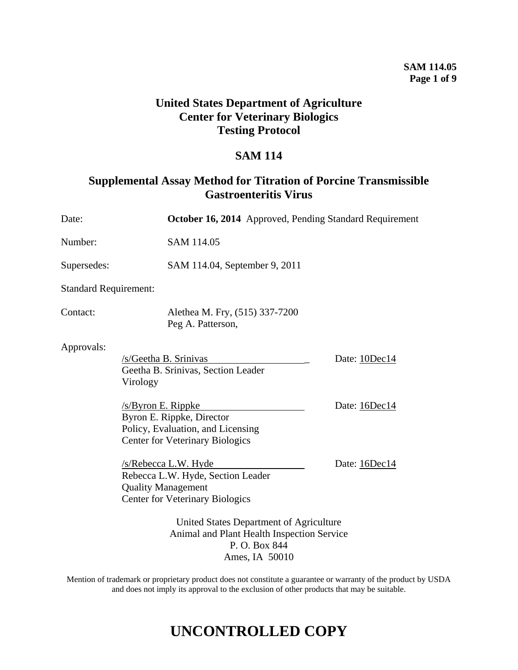### **SAM 114.05 Page 1 of 9**

## **United States Department of Agriculture Center for Veterinary Biologics Testing Protocol**

## **SAM 114**

## **Supplemental Assay Method for Titration of Porcine Transmissible Gastroenteritis Virus**

| Date:                        |                                                                                                                                   | October 16, 2014 Approved, Pending Standard Requirement |  |
|------------------------------|-----------------------------------------------------------------------------------------------------------------------------------|---------------------------------------------------------|--|
| Number:                      | SAM 114.05                                                                                                                        |                                                         |  |
| Supersedes:                  | SAM 114.04, September 9, 2011                                                                                                     |                                                         |  |
| <b>Standard Requirement:</b> |                                                                                                                                   |                                                         |  |
| Contact:                     | Alethea M. Fry, (515) 337-7200<br>Peg A. Patterson,                                                                               |                                                         |  |
| Approvals:                   | /s/Geetha B. Srinivas<br>Geetha B. Srinivas, Section Leader<br>Virology                                                           | Date: 10Dec14                                           |  |
|                              | $/s$ /Byron E. Rippke<br>Byron E. Rippke, Director<br>Policy, Evaluation, and Licensing<br><b>Center for Veterinary Biologics</b> | Date: 16Dec14                                           |  |
|                              | /s/Rebecca L.W. Hyde<br>Rebecca L.W. Hyde, Section Leader<br><b>Quality Management</b><br><b>Center for Veterinary Biologics</b>  | Date: 16Dec14                                           |  |
|                              | United States Department of Agriculture<br>Animal and Plant Health Inspection Service<br>P.O. Box 844                             |                                                         |  |

Mention of trademark or proprietary product does not constitute a guarantee or warranty of the product by USDA and does not imply its approval to the exclusion of other products that may be suitable.

Ames, IA 50010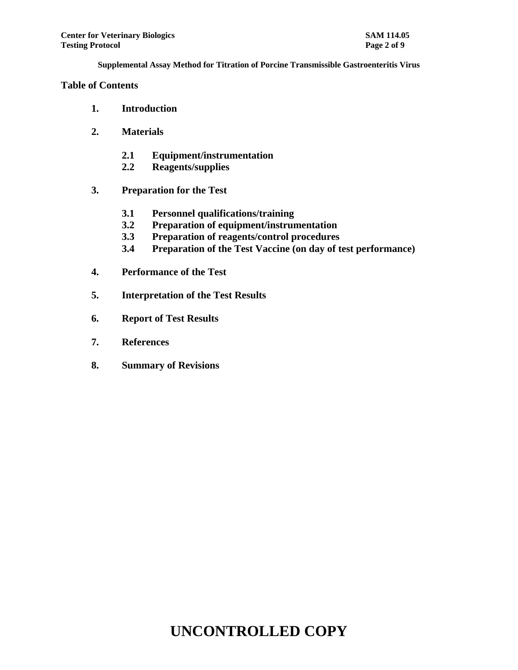### **Table of Contents**

- **1. Introduction**
- **2. Materials**
	- **2.1 Equipment/instrumentation**
	- **2.2 Reagents/supplies**
- **3. Preparation for the Test**
	- **3.1 Personnel qualifications/training**
	- **3.2 Preparation of equipment/instrumentation**
	- **3.3 Preparation of reagents/control procedures**
	- **3.4 Preparation of the Test Vaccine (on day of test performance)**
- **4. Performance of the Test**
- **5. Interpretation of the Test Results**
- **6. Report of Test Results**
- **7. References**
- **8. Summary of Revisions**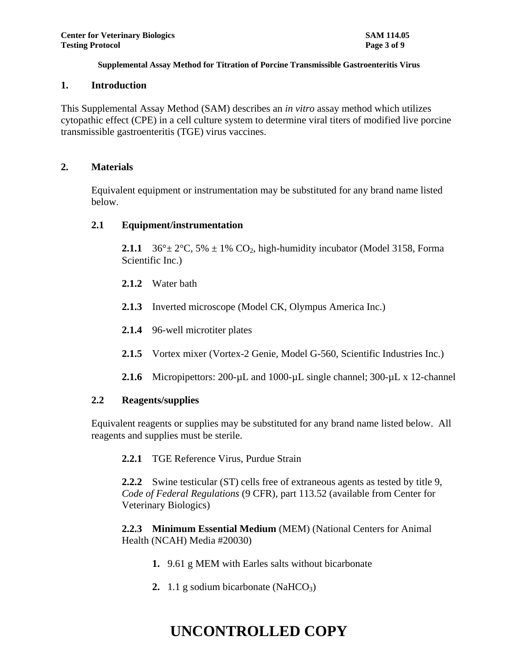#### **1. Introduction**

This Supplemental Assay Method (SAM) describes an *in vitro* assay method which utilizes cytopathic effect (CPE) in a cell culture system to determine viral titers of modified live porcine transmissible gastroenteritis (TGE) virus vaccines.

### **2. Materials**

Equivalent equipment or instrumentation may be substituted for any brand name listed below.

## **2.1 Equipment/instrumentation**

**2.1.1** 36° $\pm$  2°C, 5%  $\pm$  1% CO<sub>2</sub>, high-humidity incubator (Model 3158, Forma Scientific Inc.)

- **2.1.2** Water bath
- **2.1.3** Inverted microscope (Model CK, Olympus America Inc.)
- **2.1.4** 96-well microtiter plates
- **2.1.5** Vortex mixer (Vortex-2 Genie, Model G-560, Scientific Industries Inc.)
- 2.1.6 Micropipettors: 200-µL and 1000-µL single channel; 300-µL x 12-channel

## **2.2 Reagents/supplies**

Equivalent reagents or supplies may be substituted for any brand name listed below. All reagents and supplies must be sterile.

**2.2.1** TGE Reference Virus, Purdue Strain

**2.2.2** Swine testicular (ST) cells free of extraneous agents as tested by title 9, *Code of Federal Regulations* (9 CFR), part 113.52 (available from Center for Veterinary Biologics)

**2.2.3 Minimum Essential Medium** (MEM) (National Centers for Animal Health (NCAH) Media #20030)

- **1.** 9.61 g MEM with Earles salts without bicarbonate
- **2.** 1.1 g sodium bicarbonate (NaHCO<sub>3</sub>)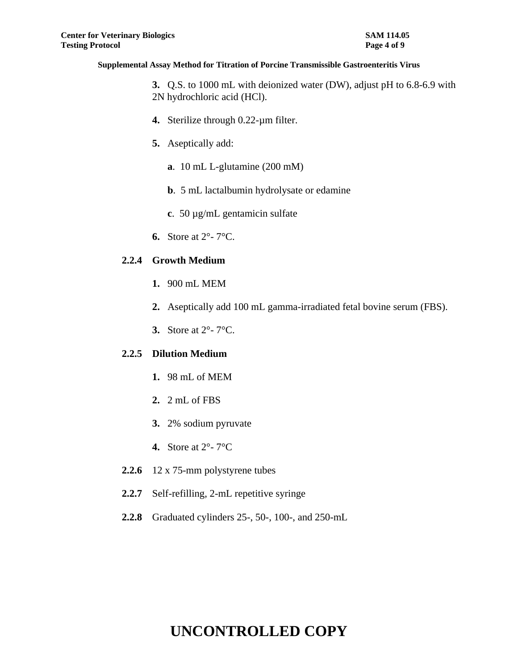**3.** Q.S. to 1000 mL with deionized water (DW), adjust pH to 6.8-6.9 with 2N hydrochloric acid (HCl).

- **4.** Sterilize through 0.22-µm filter.
- **5.** Aseptically add:
	- **a**. 10 mL L-glutamine (200 mM)
	- **b**. 5 mL lactalbumin hydrolysate or edamine
	- **c**. 50 µg/mL gentamicin sulfate
- **6.** Store at 2°- 7°C.

## **2.2.4 Growth Medium**

- **1.** 900 mL MEM
- **2.** Aseptically add 100 mL gamma-irradiated fetal bovine serum (FBS).
- **3.** Store at 2°- 7°C.

## **2.2.5 Dilution Medium**

- **1.** 98 mL of MEM
- **2.** 2 mL of FBS
- **3.** 2% sodium pyruvate
- **4.** Store at 2°- 7°C
- **2.2.6** 12 x 75-mm polystyrene tubes
- 2.2.7 Self-refilling, 2-mL repetitive syringe
- **2.2.8** Graduated cylinders 25-, 50-, 100-, and 250-mL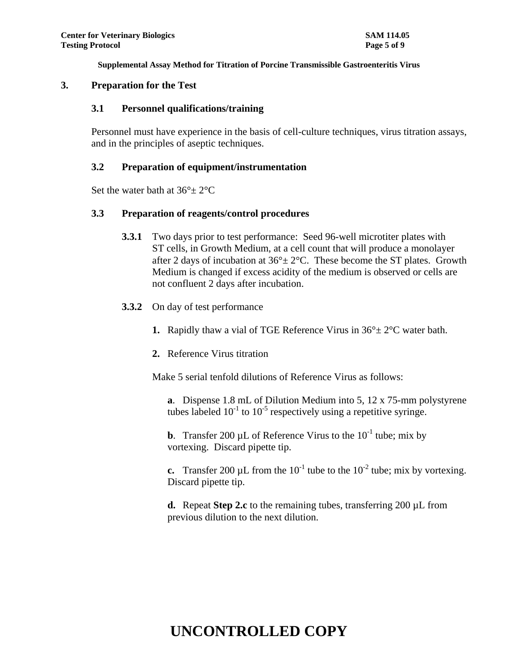#### **3. Preparation for the Test**

#### **3.1 Personnel qualifications/training**

Personnel must have experience in the basis of cell-culture techniques, virus titration assays, and in the principles of aseptic techniques.

#### **3.2 Preparation of equipment/instrumentation**

Set the water bath at  $36^{\circ}$   $\pm$  2°C

#### **3.3 Preparation of reagents/control procedures**

- **3.3.1** Two days prior to test performance: Seed 96-well microtiter plates with ST cells, in Growth Medium, at a cell count that will produce a monolayer after 2 days of incubation at  $36^{\circ} \pm 2^{\circ}$ C. These become the ST plates. Growth Medium is changed if excess acidity of the medium is observed or cells are not confluent 2 days after incubation.
- **3.3.2** On day of test performance
	- **1.** Rapidly thaw a vial of TGE Reference Virus in  $36^\circ \pm 2^\circ$ C water bath.
	- **2.** Reference Virus titration

Make 5 serial tenfold dilutions of Reference Virus as follows:

**a**. Dispense 1.8 mL of Dilution Medium into 5, 12 x 75-mm polystyrene tubes labeled  $10^{-1}$  to  $10^{-5}$  respectively using a repetitive syringe.

**b**. Transfer 200  $\mu$ L of Reference Virus to the  $10^{-1}$  tube; mix by vortexing. Discard pipette tip.

**c.** Transfer 200  $\mu$ L from the 10<sup>-1</sup> tube to the 10<sup>-2</sup> tube; mix by vortexing. Discard pipette tip.

**d.** Repeat **Step 2.c** to the remaining tubes, transferring 200 µL from previous dilution to the next dilution.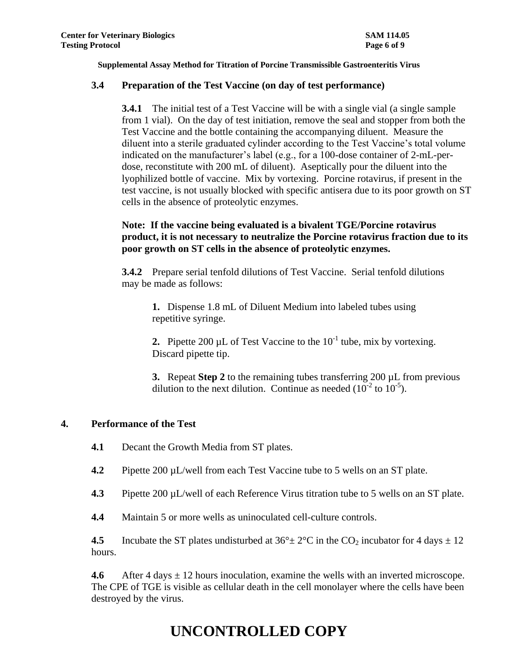### **3.4 Preparation of the Test Vaccine (on day of test performance)**

**3.4.1** The initial test of a Test Vaccine will be with a single vial (a single sample from 1 vial). On the day of test initiation, remove the seal and stopper from both the Test Vaccine and the bottle containing the accompanying diluent. Measure the diluent into a sterile graduated cylinder according to the Test Vaccine's total volume indicated on the manufacturer's label (e.g., for a 100-dose container of 2-mL-perdose, reconstitute with 200 mL of diluent). Aseptically pour the diluent into the lyophilized bottle of vaccine. Mix by vortexing. Porcine rotavirus, if present in the test vaccine, is not usually blocked with specific antisera due to its poor growth on ST cells in the absence of proteolytic enzymes.

## **Note: If the vaccine being evaluated is a bivalent TGE/Porcine rotavirus product, it is not necessary to neutralize the Porcine rotavirus fraction due to its poor growth on ST cells in the absence of proteolytic enzymes.**

**3.4.2** Prepare serial tenfold dilutions of Test Vaccine. Serial tenfold dilutions may be made as follows:

**1.** Dispense 1.8 mL of Diluent Medium into labeled tubes using repetitive syringe.

**2.** Pipette 200  $\mu$ L of Test Vaccine to the  $10^{-1}$  tube, mix by vortexing. Discard pipette tip.

**3.** Repeat **Step 2** to the remaining tubes transferring 200 µL from previous dilution to the next dilution. Continue as needed  $(10^{-2}$  to  $10^{-5})$ .

## **4. Performance of the Test**

- **4.1** Decant the Growth Media from ST plates.
- **4.2** Pipette 200 µL/well from each Test Vaccine tube to 5 wells on an ST plate.
- **4.3** Pipette 200 µL/well of each Reference Virus titration tube to 5 wells on an ST plate.
- **4.4** Maintain 5 or more wells as uninoculated cell-culture controls.

**4.5** Incubate the ST plates undisturbed at  $36^\circ \pm 2^\circ \text{C}$  in the CO<sub>2</sub> incubator for 4 days  $\pm 12$ hours.

**4.6** After 4 days  $\pm$  12 hours inoculation, examine the wells with an inverted microscope. The CPE of TGE is visible as cellular death in the cell monolayer where the cells have been destroyed by the virus.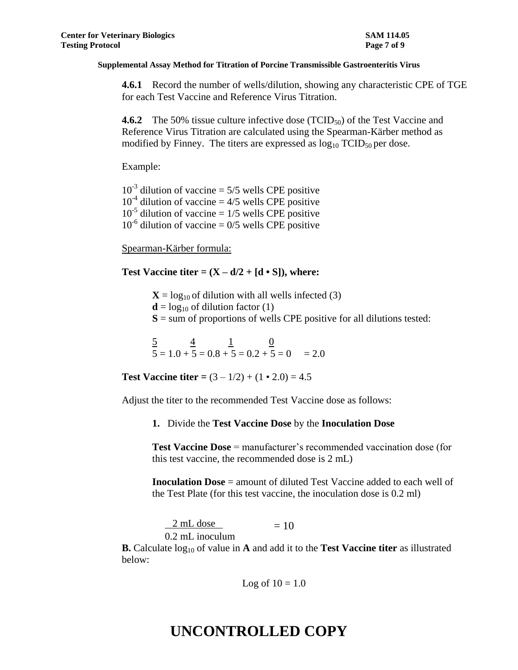**4.6.1** Record the number of wells/dilution, showing any characteristic CPE of TGE for each Test Vaccine and Reference Virus Titration.

**4.6.2** The 50% tissue culture infective dose (TCID<sub>50</sub>) of the Test Vaccine and Reference Virus Titration are calculated using the Spearman-Kärber method as modified by Finney. The titers are expressed as  $log_{10} TCID_{50}$  per dose.

Example:

 $10^{-3}$  dilution of vaccine = 5/5 wells CPE positive  $10^{-4}$  dilution of vaccine = 4/5 wells CPE positive  $10^{-5}$  dilution of vaccine = 1/5 wells CPE positive  $10^{-6}$  dilution of vaccine = 0/5 wells CPE positive

Spearman-Kärber formula:

**Test Vaccine titer =**  $(X - d/2 + [d \cdot S])$ **, where:** 

 $X = log_{10}$  of dilution with all wells infected (3)

 $\mathbf{d} = \log_{10}$  of dilution factor (1)

 $S =$ sum of proportions of wells CPE positive for all dilutions tested:

 $\frac{5}{2}$   $\frac{4}{1}$   $\frac{1}{0}$  $5 = 1.0 + 5 = 0.8 + 5 = 0.2 + 5 = 0 = 2.0$ 

**Test Vaccine titer =**  $(3 - 1/2) + (1 \cdot 2.0) = 4.5$ 

Adjust the titer to the recommended Test Vaccine dose as follows:

**1.** Divide the **Test Vaccine Dose** by the **Inoculation Dose**

**Test Vaccine Dose** = manufacturer's recommended vaccination dose (for this test vaccine, the recommended dose is 2 mL)

**Inoculation Dose** = amount of diluted Test Vaccine added to each well of the Test Plate (for this test vaccine, the inoculation dose is 0.2 ml)

 $2 \text{ mL dose}$  = 10 0.2 mL inoculum

**B.** Calculate  $log_{10}$  of value in **A** and add it to the **Test Vaccine titer** as illustrated below:

Log of  $10 = 1.0$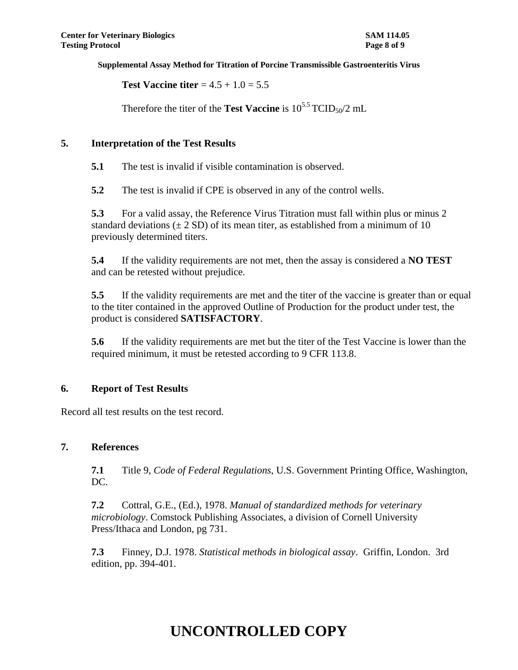**Test Vaccine titer**  $= 4.5 + 1.0 = 5.5$ 

Therefore the titer of the **Test Vaccine** is  $10^{5.5}$  TCID<sub>50</sub>/2 mL

### **5. Interpretation of the Test Results**

**5.1** The test is invalid if visible contamination is observed.

**5.2** The test is invalid if CPE is observed in any of the control wells.

**5.3** For a valid assay, the Reference Virus Titration must fall within plus or minus 2 standard deviations  $(\pm 2 SD)$  of its mean titer, as established from a minimum of 10 previously determined titers.

**5.4** If the validity requirements are not met, then the assay is considered a **NO TEST** and can be retested without prejudice.

**5.5** If the validity requirements are met and the titer of the vaccine is greater than or equal to the titer contained in the approved Outline of Production for the product under test, the product is considered **SATISFACTORY**.

**5.6** If the validity requirements are met but the titer of the Test Vaccine is lower than the required minimum, it must be retested according to 9 CFR 113.8.

## **6. Report of Test Results**

Record all test results on the test record.

## **7. References**

**7.1** Title 9, *Code of Federal Regulations*, U.S. Government Printing Office, Washington, DC.

**7.2** Cottral, G.E., (Ed.), 1978. *Manual of standardized methods for veterinary microbiology*. Comstock Publishing Associates, a division of Cornell University Press/Ithaca and London, pg 731.

**7.3** Finney, D.J. 1978. *Statistical methods in biological assay*. Griffin, London. 3rd edition, pp. 394-401.